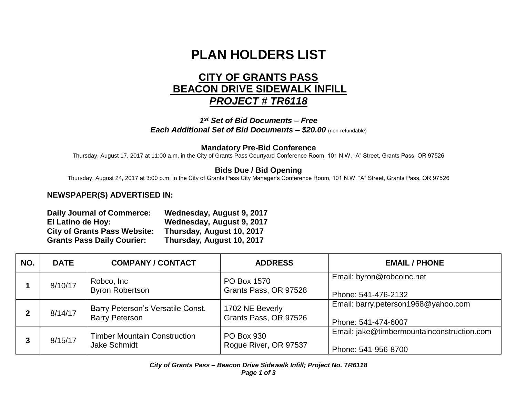# **PLAN HOLDERS LIST**

## **CITY OF GRANTS PASS BEACON DRIVE SIDEWALK INFILL** *PROJECT # TR6118*

*1 st Set of Bid Documents – Free Each Additional Set of Bid Documents – \$20.00* (non-refundable)

#### **Mandatory Pre-Bid Conference**

Thursday, August 17, 2017 at 11:00 a.m. in the City of Grants Pass Courtyard Conference Room, 101 N.W. "A" Street, Grants Pass, OR 97526

### **Bids Due / Bid Opening**

Thursday, August 24, 2017 at 3:00 p.m. in the City of Grants Pass City Manager's Conference Room, 101 N.W. "A" Street, Grants Pass, OR 97526

#### **NEWSPAPER(S) ADVERTISED IN:**

| <b>Daily Journal of Commerce:</b>   | Wednesday, August 9, 2017 |
|-------------------------------------|---------------------------|
| El Latino de Hoy:                   | Wednesday, August 9, 2017 |
| <b>City of Grants Pass Website:</b> | Thursday, August 10, 2017 |
| <b>Grants Pass Daily Courier:</b>   | Thursday, August 10, 2017 |

| NO. | <b>DATE</b> | <b>COMPANY / CONTACT</b>                                   | <b>ADDRESS</b>                             | <b>EMAIL / PHONE</b>                                              |
|-----|-------------|------------------------------------------------------------|--------------------------------------------|-------------------------------------------------------------------|
|     | 8/10/17     | Robco, Inc<br><b>Byron Robertson</b>                       | PO Box 1570<br>Grants Pass, OR 97528       | Email: byron@robcoinc.net<br>Phone: 541-476-2132                  |
|     | 8/14/17     | Barry Peterson's Versatile Const.<br><b>Barry Peterson</b> | 1702 NE Beverly<br>Grants Pass, OR 97526   | Email: barry.peterson1968@yahoo.com<br>Phone: 541-474-6007        |
|     | 8/15/17     | <b>Timber Mountain Construction</b><br>Jake Schmidt        | <b>PO Box 930</b><br>Rogue River, OR 97537 | Email: jake@timbermountainconstruction.com<br>Phone: 541-956-8700 |

*City of Grants Pass – Beacon Drive Sidewalk Infill; Project No. TR6118 Page 1 of 3*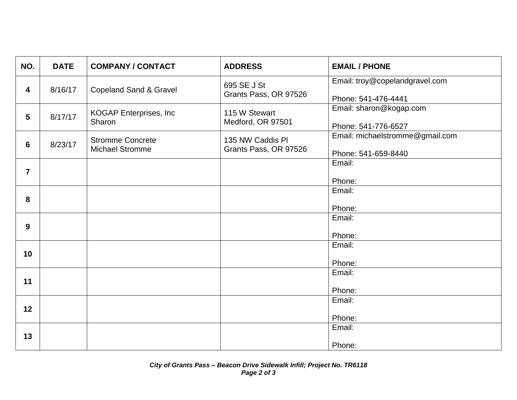| NO.             | <b>DATE</b> | <b>COMPANY / CONTACT</b>                          | <b>ADDRESS</b>                            | <b>EMAIL / PHONE</b>                                   |
|-----------------|-------------|---------------------------------------------------|-------------------------------------------|--------------------------------------------------------|
| 4               | 8/16/17     | <b>Copeland Sand &amp; Gravel</b>                 | 695 SE J St<br>Grants Pass, OR 97526      | Email: troy@copelandgravel.com<br>Phone: 541-476-4441  |
| $5\phantom{.0}$ | 8/17/17     | <b>KOGAP Enterprises, Inc.</b><br>Sharon          | 115 W Stewart<br>Medford, OR 97501        | Email: sharon@kogap.com<br>Phone: 541-776-6527         |
| $6\phantom{1}$  | 8/23/17     | <b>Stromme Concrete</b><br><b>Michael Stromme</b> | 135 NW Caddis PI<br>Grants Pass, OR 97526 | Email: michaelstromme@gmail.com<br>Phone: 541-659-8440 |
| $\overline{7}$  |             |                                                   |                                           | Email:<br>Phone:                                       |
| 8               |             |                                                   |                                           | Email:<br>Phone:                                       |
| 9               |             |                                                   |                                           | Email:<br>Phone:                                       |
| 10              |             |                                                   |                                           | Email:<br>Phone:                                       |
| 11              |             |                                                   |                                           | Email:<br>Phone:                                       |
| 12              |             |                                                   |                                           | Email:<br>Phone:                                       |
| 13              |             |                                                   |                                           | Email:<br>Phone:                                       |